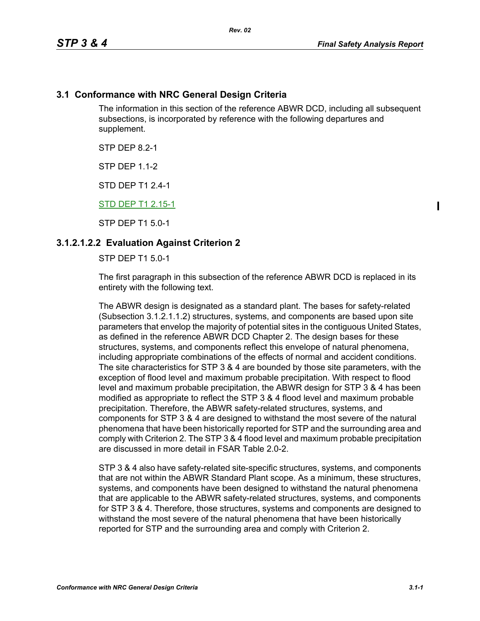### **3.1 Conformance with NRC General Design Criteria**

The information in this section of the reference ABWR DCD, including all subsequent subsections, is incorporated by reference with the following departures and supplement.

STP DFP 82-1

**STP DFP 1 1-2** 

STD DEP T1 2.4-1

#### STD DEP T1 2.15-1

STP DEP T1 5.0-1

#### **3.1.2.1.2.2 Evaluation Against Criterion 2**

STP DEP T1 5.0-1

The first paragraph in this subsection of the reference ABWR DCD is replaced in its entirety with the following text.

The ABWR design is designated as a standard plant. The bases for safety-related (Subsection 3.1.2.1.1.2) structures, systems, and components are based upon site parameters that envelop the majority of potential sites in the contiguous United States, as defined in the reference ABWR DCD Chapter 2. The design bases for these structures, systems, and components reflect this envelope of natural phenomena, including appropriate combinations of the effects of normal and accident conditions. The site characteristics for STP 3 & 4 are bounded by those site parameters, with the exception of flood level and maximum probable precipitation. With respect to flood level and maximum probable precipitation, the ABWR design for STP 3 & 4 has been modified as appropriate to reflect the STP 3 & 4 flood level and maximum probable precipitation. Therefore, the ABWR safety-related structures, systems, and components for STP 3 & 4 are designed to withstand the most severe of the natural phenomena that have been historically reported for STP and the surrounding area and comply with Criterion 2. The STP 3 & 4 flood level and maximum probable precipitation are discussed in more detail in FSAR Table 2.0-2.

STP 3 & 4 also have safety-related site-specific structures, systems, and components that are not within the ABWR Standard Plant scope. As a minimum, these structures, systems, and components have been designed to withstand the natural phenomena that are applicable to the ABWR safety-related structures, systems, and components for STP 3 & 4. Therefore, those structures, systems and components are designed to withstand the most severe of the natural phenomena that have been historically reported for STP and the surrounding area and comply with Criterion 2.

 $\mathbf I$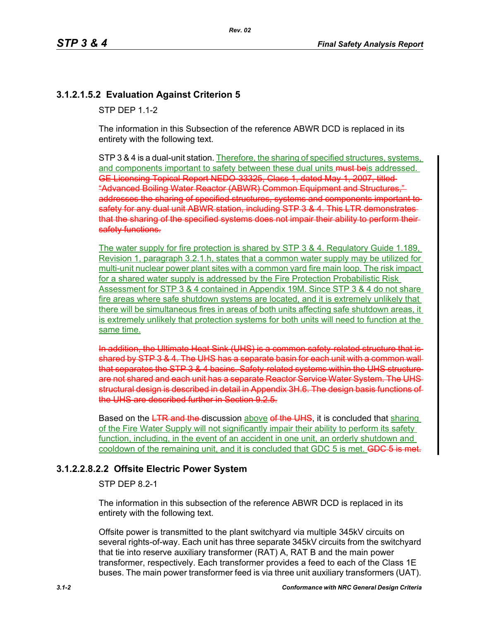# **3.1.2.1.5.2 Evaluation Against Criterion 5**

**STP DFP 11-2** 

The information in this Subsection of the reference ABWR DCD is replaced in its entirety with the following text.

STP 3 & 4 is a dual-unit station. Therefore, the sharing of specified structures, systems, and components important to safety between these dual units must be addressed. GE Licensing Topical Report NEDO-33325, Class 1, dated May 1, 2007, titled "Advanced Boiling Water Reactor (ABWR) Common Equipment and Structures," addresses the sharing of specified structures, systems and components important to safety for any dual unit ABWR station, including STP 3 & 4. This LTR demonstrates that the sharing of the specified systems does not impair their ability to perform their safety functions.

The water supply for fire protection is shared by STP 3 & 4. Regulatory Guide 1.189, Revision 1, paragraph 3.2.1.h, states that a common water supply may be utilized for multi-unit nuclear power plant sites with a common yard fire main loop. The risk impact for a shared water supply is addressed by the Fire Protection Probabilistic Risk Assessment for STP 3 & 4 contained in Appendix 19M. Since STP 3 & 4 do not share fire areas where safe shutdown systems are located, and it is extremely unlikely that there will be simultaneous fires in areas of both units affecting safe shutdown areas, it is extremely unlikely that protection systems for both units will need to function at the same time.

In addition, the Ultimate Heat Sink (UHS) is a common safety related structure that shared by STP 3 & 4. The UHS has a separate basin for each unit with a common wall that separates the STP 3 & 4 basins. Safety-related systems within the UHS structure are not shared and each unit has a separate Reactor Service Water System. The UHS structural design is described in detail in Appendix 3H.6. The design basis functions of the UHS are described further in Section 9.2.5.

Based on the LTR and the discussion above of the UHS, it is concluded that sharing of the Fire Water Supply will not significantly impair their ability to perform its safety function, including, in the event of an accident in one unit, an orderly shutdown and cooldown of the remaining unit, and it is concluded that GDC 5 is met. GDC 5 is met.

## **3.1.2.2.8.2.2 Offsite Electric Power System**

#### STP DEP 8.2-1

The information in this subsection of the reference ABWR DCD is replaced in its entirety with the following text.

Offsite power is transmitted to the plant switchyard via multiple 345kV circuits on several rights-of-way. Each unit has three separate 345kV circuits from the switchyard that tie into reserve auxiliary transformer (RAT) A, RAT B and the main power transformer, respectively. Each transformer provides a feed to each of the Class 1E buses. The main power transformer feed is via three unit auxiliary transformers (UAT).